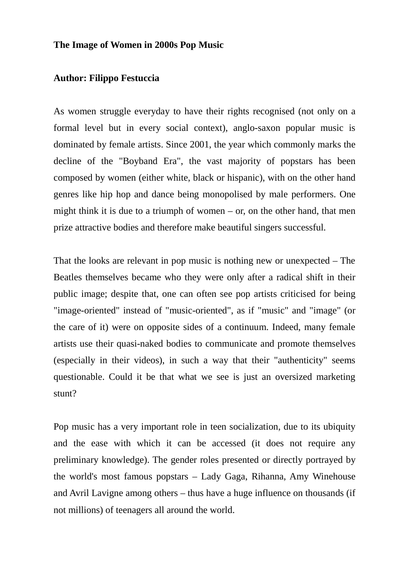## **The Image of Women in 2000s Pop Music**

## **Author: Filippo Festuccia**

As women struggle everyday to have their rights recognised (not only on a formal level but in every social context), anglo-saxon popular music is dominated by female artists. Since 2001, the year which commonly marks the decline of the "Boyband Era", the vast majority of popstars has been composed by women (either white, black or hispanic), with on the other hand genres like hip hop and dance being monopolised by male performers. One might think it is due to a triumph of women  $-$  or, on the other hand, that men prize attractive bodies and therefore make beautiful singers successful.

That the looks are relevant in pop music is nothing new or unexpected – The Beatles themselves became who they were only after a radical shift in their public image; despite that, one can often see pop artists criticised for being "image-oriented" instead of "music-oriented", as if "music" and "image" (or the care of it) were on opposite sides of a continuum. Indeed, many female artists use their quasi-naked bodies to communicate and promote themselves (especially in their videos), in such a way that their "authenticity" seems questionable. Could it be that what we see is just an oversized marketing stunt?

Pop music has a very important role in teen socialization, due to its ubiquity and the ease with which it can be accessed (it does not require any preliminary knowledge). The gender roles presented or directly portrayed by the world's most famous popstars – Lady Gaga, Rihanna, Amy Winehouse and Avril Lavigne among others – thus have a huge influence on thousands (if not millions) of teenagers all around the world.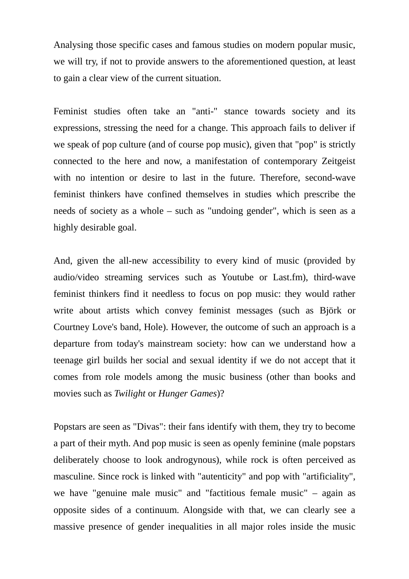Analysing those specific cases and famous studies on modern popular music, we will try, if not to provide answers to the aforementioned question, at least to gain a clear view of the current situation.

Feminist studies often take an "anti-" stance towards society and its expressions, stressing the need for a change. This approach fails to deliver if we speak of pop culture (and of course pop music), given that "pop" is strictly connected to the here and now, a manifestation of contemporary Zeitgeist with no intention or desire to last in the future. Therefore, second-wave feminist thinkers have confined themselves in studies which prescribe the needs of society as a whole – such as "undoing gender", which is seen as a highly desirable goal.

And, given the all-new accessibility to every kind of music (provided by audio/video streaming services such as Youtube or Last.fm), third-wave feminist thinkers find it needless to focus on pop music: they would rather write about artists which convey feminist messages (such as Björk or Courtney Love's band, Hole). However, the outcome of such an approach is a departure from today's mainstream society: how can we understand how a teenage girl builds her social and sexual identity if we do not accept that it comes from role models among the music business (other than books and movies such as *Twilight* or *Hunger Games*)?

Popstars are seen as "Divas": their fans identify with them, they try to become a part of their myth. And pop music is seen as openly feminine (male popstars deliberately choose to look androgynous), while rock is often perceived as masculine. Since rock is linked with "autenticity" and pop with "artificiality", we have "genuine male music" and "factitious female music" – again as opposite sides of a continuum. Alongside with that, we can clearly see a massive presence of gender inequalities in all major roles inside the music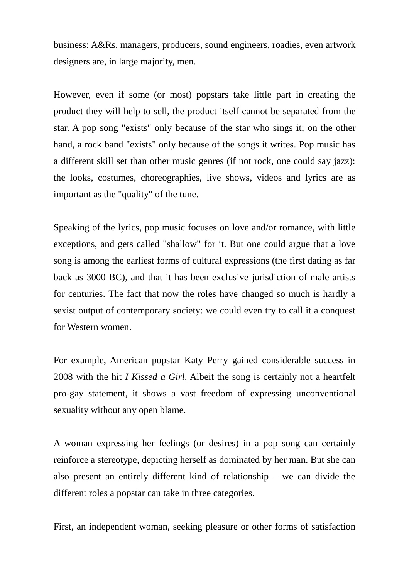business: A&Rs, managers, producers, sound engineers, roadies, even artwork designers are, in large majority, men.

However, even if some (or most) popstars take little part in creating the product they will help to sell, the product itself cannot be separated from the star. A pop song "exists" only because of the star who sings it; on the other hand, a rock band "exists" only because of the songs it writes. Pop music has a different skill set than other music genres (if not rock, one could say jazz): the looks, costumes, choreographies, live shows, videos and lyrics are as important as the "quality" of the tune.

Speaking of the lyrics, pop music focuses on love and/or romance, with little exceptions, and gets called "shallow" for it. But one could argue that a love song is among the earliest forms of cultural expressions (the first dating as far back as 3000 BC), and that it has been exclusive jurisdiction of male artists for centuries. The fact that now the roles have changed so much is hardly a sexist output of contemporary society: we could even try to call it a conquest for Western women.

For example, American popstar Katy Perry gained considerable success in 2008 with the hit *I Kissed a Girl*. Albeit the song is certainly not a heartfelt pro-gay statement, it shows a vast freedom of expressing unconventional sexuality without any open blame.

A woman expressing her feelings (or desires) in a pop song can certainly reinforce a stereotype, depicting herself as dominated by her man. But she can also present an entirely different kind of relationship – we can divide the different roles a popstar can take in three categories.

First, an independent woman, seeking pleasure or other forms of satisfaction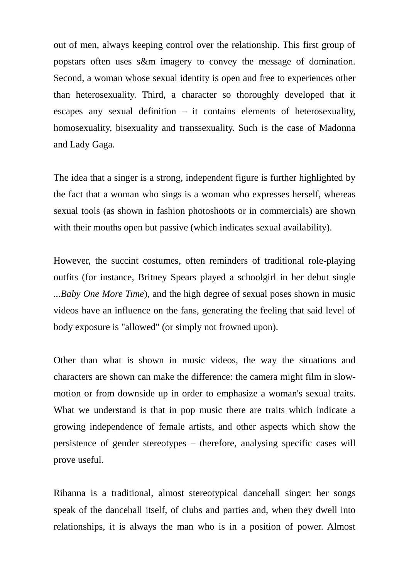out of men, always keeping control over the relationship. This first group of popstars often uses s&m imagery to convey the message of domination. Second, a woman whose sexual identity is open and free to experiences other than heterosexuality. Third, a character so thoroughly developed that it escapes any sexual definition – it contains elements of heterosexuality, homosexuality, bisexuality and transsexuality. Such is the case of Madonna and Lady Gaga.

The idea that a singer is a strong, independent figure is further highlighted by the fact that a woman who sings is a woman who expresses herself, whereas sexual tools (as shown in fashion photoshoots or in commercials) are shown with their mouths open but passive (which indicates sexual availability).

However, the succint costumes, often reminders of traditional role-playing outfits (for instance, Britney Spears played a schoolgirl in her debut single *...Baby One More Time*), and the high degree of sexual poses shown in music videos have an influence on the fans, generating the feeling that said level of body exposure is "allowed" (or simply not frowned upon).

Other than what is shown in music videos, the way the situations and characters are shown can make the difference: the camera might film in slowmotion or from downside up in order to emphasize a woman's sexual traits. What we understand is that in pop music there are traits which indicate a growing independence of female artists, and other aspects which show the persistence of gender stereotypes – therefore, analysing specific cases will prove useful.

Rihanna is a traditional, almost stereotypical dancehall singer: her songs speak of the dancehall itself, of clubs and parties and, when they dwell into relationships, it is always the man who is in a position of power. Almost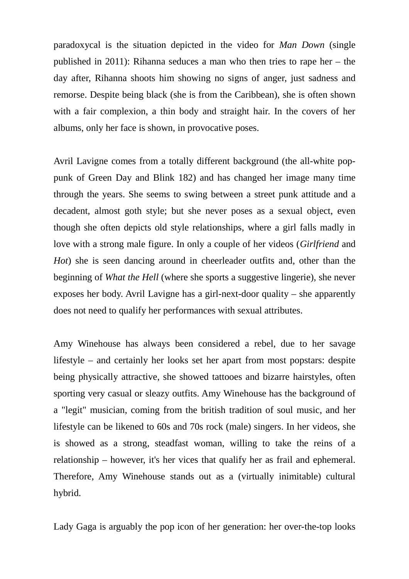paradoxycal is the situation depicted in the video for *Man Down* (single published in 2011): Rihanna seduces a man who then tries to rape her – the day after, Rihanna shoots him showing no signs of anger, just sadness and remorse. Despite being black (she is from the Caribbean), she is often shown with a fair complexion, a thin body and straight hair. In the covers of her albums, only her face is shown, in provocative poses.

Avril Lavigne comes from a totally different background (the all-white poppunk of Green Day and Blink 182) and has changed her image many time through the years. She seems to swing between a street punk attitude and a decadent, almost goth style; but she never poses as a sexual object, even though she often depicts old style relationships, where a girl falls madly in love with a strong male figure. In only a couple of her videos (*Girlfriend* and *Hot*) she is seen dancing around in cheerleader outfits and, other than the beginning of *What the Hell* (where she sports a suggestive lingerie), she never exposes her body. Avril Lavigne has a girl-next-door quality – she apparently does not need to qualify her performances with sexual attributes.

Amy Winehouse has always been considered a rebel, due to her savage lifestyle – and certainly her looks set her apart from most popstars: despite being physically attractive, she showed tattooes and bizarre hairstyles, often sporting very casual or sleazy outfits. Amy Winehouse has the background of a "legit" musician, coming from the british tradition of soul music, and her lifestyle can be likened to 60s and 70s rock (male) singers. In her videos, she is showed as a strong, steadfast woman, willing to take the reins of a relationship – however, it's her vices that qualify her as frail and ephemeral. Therefore, Amy Winehouse stands out as a (virtually inimitable) cultural hybrid.

Lady Gaga is arguably the pop icon of her generation: her over-the-top looks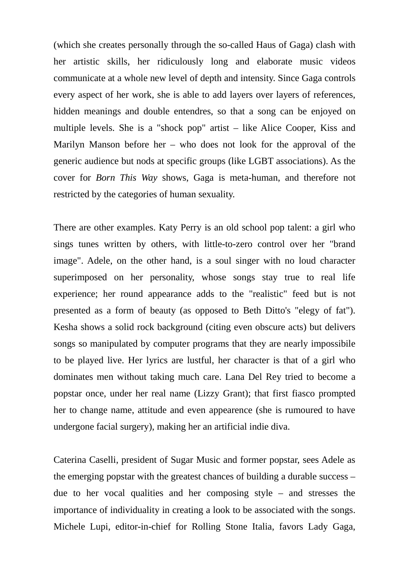(which she creates personally through the so-called Haus of Gaga) clash with her artistic skills, her ridiculously long and elaborate music videos communicate at a whole new level of depth and intensity. Since Gaga controls every aspect of her work, she is able to add layers over layers of references, hidden meanings and double entendres, so that a song can be enjoyed on multiple levels. She is a "shock pop" artist – like Alice Cooper, Kiss and Marilyn Manson before her – who does not look for the approval of the generic audience but nods at specific groups (like LGBT associations). As the cover for *Born This Way* shows, Gaga is meta-human, and therefore not restricted by the categories of human sexuality.

There are other examples. Katy Perry is an old school pop talent: a girl who sings tunes written by others, with little-to-zero control over her "brand image". Adele, on the other hand, is a soul singer with no loud character superimposed on her personality, whose songs stay true to real life experience; her round appearance adds to the "realistic" feed but is not presented as a form of beauty (as opposed to Beth Ditto's "elegy of fat"). Kesha shows a solid rock background (citing even obscure acts) but delivers songs so manipulated by computer programs that they are nearly impossibile to be played live. Her lyrics are lustful, her character is that of a girl who dominates men without taking much care. Lana Del Rey tried to become a popstar once, under her real name (Lizzy Grant); that first fiasco prompted her to change name, attitude and even appearence (she is rumoured to have undergone facial surgery), making her an artificial indie diva.

Caterina Caselli, president of Sugar Music and former popstar, sees Adele as the emerging popstar with the greatest chances of building a durable success – due to her vocal qualities and her composing style – and stresses the importance of individuality in creating a look to be associated with the songs. Michele Lupi, editor-in-chief for Rolling Stone Italia, favors Lady Gaga,